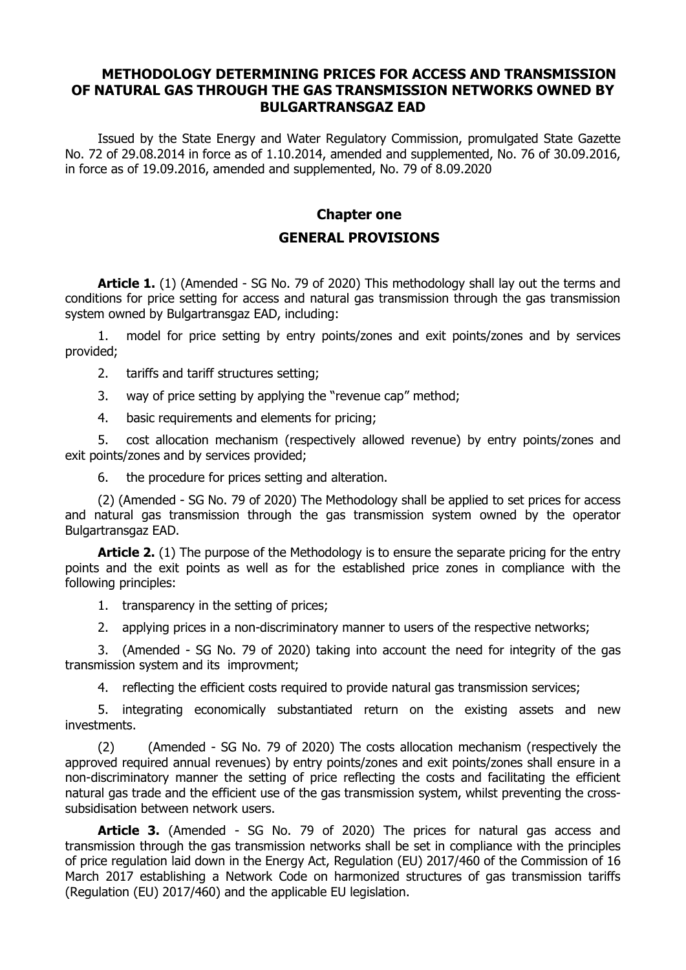### **METHODOLOGY DETERMINING PRICES FOR ACCESS AND TRANSMISSION OF NATURAL GAS THROUGH THE GAS TRANSMISSION NETWORKS OWNED BY BULGARTRANSGAZ EAD**

Issued by the State Energy and Water Regulatory Commission, promulgated State Gazette No. 72 of 29.08.2014 in force as of 1.10.2014, amended and supplemented, No. 76 of 30.09.2016, in force as of 19.09.2016, amended and supplemented, No. 79 of 8.09.2020

### **Chapter one GENERAL PROVISIONS**

**Article 1.** (1) (Amended - SG No. 79 of 2020) This methodology shall lay out the terms and conditions for price setting for access and natural gas transmission through the gas transmission system owned by Bulgartransgaz EAD, including:

1. model for price setting by entry points/zones and exit points/zones and by services provided;

- 2. tariffs and tariff structures setting;
- 3. way of price setting by applying the "revenue cap" method;
- 4. basic requirements and elements for pricing;

5. cost allocation mechanism (respectively allowed revenue) by entry points/zones and exit points/zones and by services provided;

6. the procedure for prices setting and alteration.

(2) (Amended - SG No. 79 of 2020) The Methodology shall be applied to set prices for access and natural gas transmission through the gas transmission system owned by the operator Bulgartransgaz EAD.

**Article 2.** (1) The purpose of the Methodology is to ensure the separate pricing for the entry points and the exit points as well as for the established price zones in compliance with the following principles:

- 1. transparency in the setting of prices;
- 2. applying prices in a non-discriminatory manner to users of the respective networks;

3. (Amended - SG No. 79 of 2020) taking into account the need for integrity of the gas transmission system and its improvment;

4. reflecting the efficient costs required to provide natural gas transmission services;

5. integrating economically substantiated return on the existing assets and new investments.

(2) (Amended - SG No. 79 of 2020) The costs allocation mechanism (respectively the approved required annual revenues) by entry points/zones and exit points/zones shall ensure in a non-discriminatory manner the setting of price reflecting the costs and facilitating the efficient natural gas trade and the efficient use of the gas transmission system, whilst preventing the crosssubsidisation between network users.

**Article 3.** (Amended - SG No. 79 of 2020) The prices for natural gas access and transmission through the gas transmission networks shall be set in compliance with the principles of price regulation laid down in the Energy Act, Regulation (EU) 2017/460 of the Commission of 16 March 2017 establishing a Network Code on harmonized structures of gas transmission tariffs (Regulation (EU) 2017/460) and the applicable EU legislation.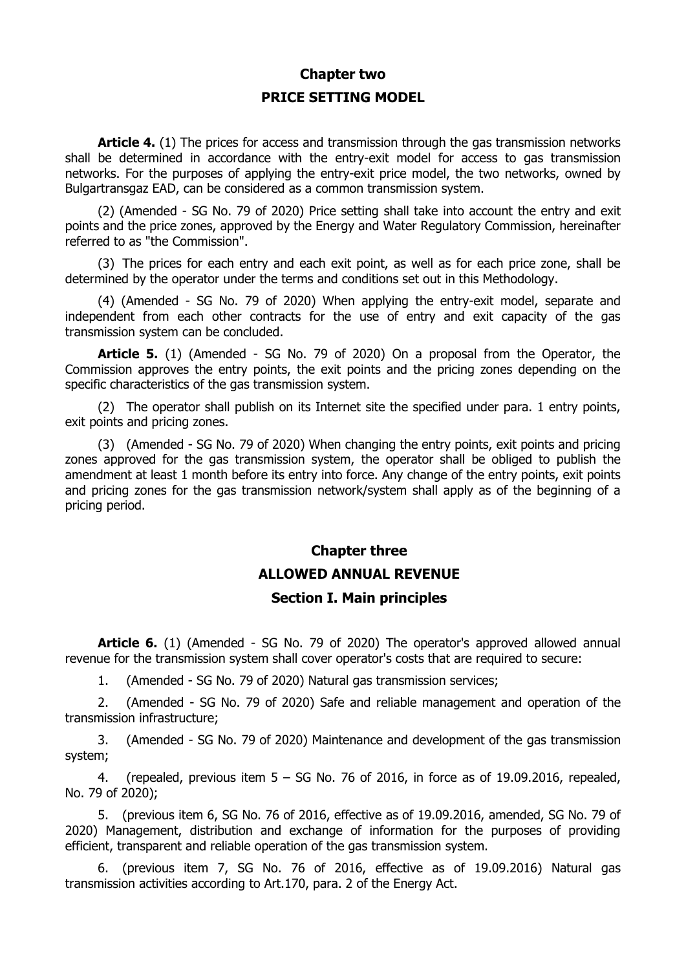# **Chapter two PRICE SETTING MODEL**

**Article 4.** (1) The prices for access and transmission through the gas transmission networks shall be determined in accordance with the entry-exit model for access to gas transmission networks. For the purposes of applying the entry-exit price model, the two networks, owned by Bulgartransgaz EAD, can be considered as a common transmission system.

(2) (Amended - SG No. 79 of 2020) Price setting shall take into account the entry and exit points and the price zones, approved by the Energy and Water Regulatory Commission, hereinafter referred to as "the Commission".

(3) The prices for each entry and each exit point, as well as for each price zone, shall be determined by the operator under the terms and conditions set out in this Methodology.

(4) (Amended - SG No. 79 of 2020) When applying the entry-exit model, separate and independent from each other contracts for the use of entry and exit capacity of the gas transmission system can be concluded.

**Article 5.** (1) (Amended - SG No. 79 of 2020) On a proposal from the Operator, the Commission approves the entry points, the exit points and the pricing zones depending on the specific characteristics of the gas transmission system.

(2) The operator shall publish on its Internet site the specified under para. 1 entry points, exit points and pricing zones.

(3) (Amended - SG No. 79 of 2020) When changing the entry points, exit points and pricing zones approved for the gas transmission system, the operator shall be obliged to publish the amendment at least 1 month before its entry into force. Any change of the entry points, exit points and pricing zones for the gas transmission network/system shall apply as of the beginning of a pricing period.

# **Chapter three ALLOWED ANNUAL REVENUE**

### **Section I. Main principles**

**Article 6.** (1) (Amended - SG No. 79 of 2020) The operator's approved allowed annual revenue for the transmission system shall cover operator's costs that are required to secure:

1. (Amended - SG No. 79 of 2020) Natural gas transmission services;

2. (Amended - SG No. 79 of 2020) Safe and reliable management and operation of the transmission infrastructure;

3. (Amended - SG No. 79 of 2020) Maintenance and development of the gas transmission system;

4. (repealed, previous item  $5 - SG$  No. 76 of 2016, in force as of 19.09.2016, repealed, No. 79 of 2020);

5. (previous item 6, SG No. 76 of 2016, effective as of 19.09.2016, amended, SG No. 79 of 2020) Management, distribution and exchange of information for the purposes of providing efficient, transparent and reliable operation of the gas transmission system.

6. (previous item 7, SG No. 76 of 2016, effective as of 19.09.2016) Natural gas transmission activities according to Art.170, para. 2 of the Energy Act.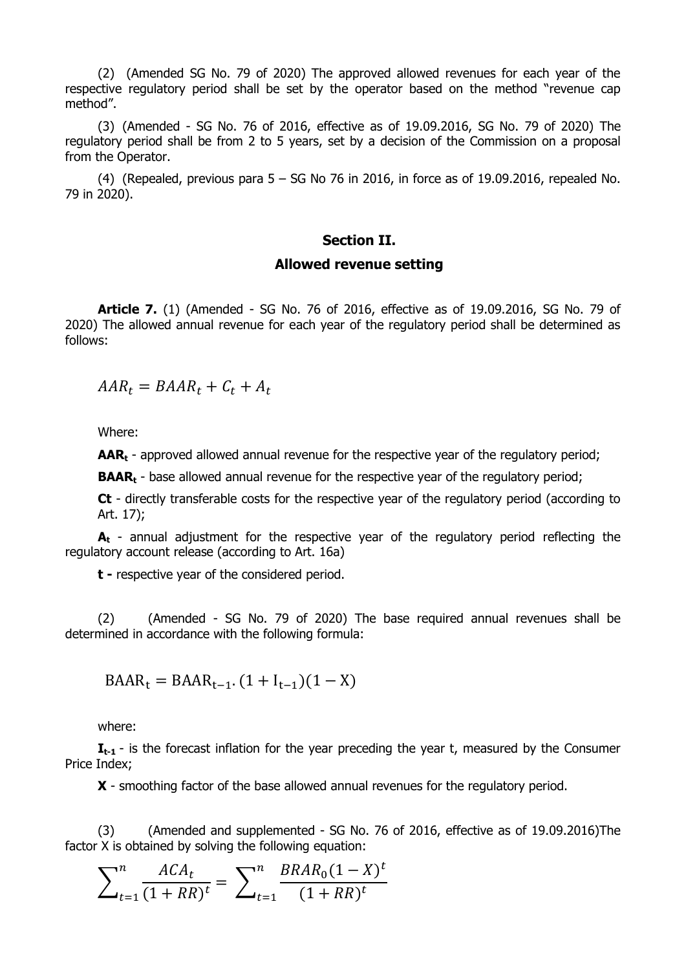(2) (Amended SG No. 79 of 2020) The approved allowed revenues for each year of the respective regulatory period shall be set by the operator based on the method "revenue cap method".

(3) (Amended - SG No. 76 of 2016, effective as of 19.09.2016, SG No. 79 of 2020) The regulatory period shall be from 2 to 5 years, set by a decision of the Commission on a proposal from the Operator.

(4) (Repealed, previous para  $5 - SG$  No 76 in 2016, in force as of 19.09.2016, repealed No. 79 in 2020).

#### **Section II.**

#### **Allowed revenue setting**

**Article 7.** (1) (Amended - SG No. 76 of 2016, effective as of 19.09.2016, SG No. 79 of 2020) The allowed annual revenue for each year of the regulatory period shall be determined as follows:

 $AAR_t = BAAR_t + C_t + A_t$ 

Where:

**AAR<sub>t</sub>** - approved allowed annual revenue for the respective year of the regulatory period;

**BAAR<sub>t</sub>** - base allowed annual revenue for the respective year of the regulatory period;

**Ct** - directly transferable costs for the respective year of the regulatory period (according to Art. 17);

**A<sup>t</sup>** - annual adjustment for the respective year of the regulatory period reflecting the regulatory account release (according to Art. 16a)

**t -** respective year of the considered period.

(2) (Amended - SG No. 79 of 2020) The base required annual revenues shall be determined in accordance with the following formula:

$$
BAAR_t = BAAR_{t-1} \cdot (1 + I_{t-1})(1 - X)
$$

where:

**I**<sub>t-1</sub> - is the forecast inflation for the year preceding the year t, measured by the Consumer Price Index;

**X** - smoothing factor of the base allowed annual revenues for the regulatory period.

(3) (Amended and supplemented - SG No. 76 of 2016, effective as of 19.09.2016)The factor X is obtained by solving the following equation:

$$
\sum_{t=1}^{n} \frac{ACA_t}{(1+RR)^t} = \sum_{t=1}^{n} \frac{BRAR_0(1-X)^t}{(1+RR)^t}
$$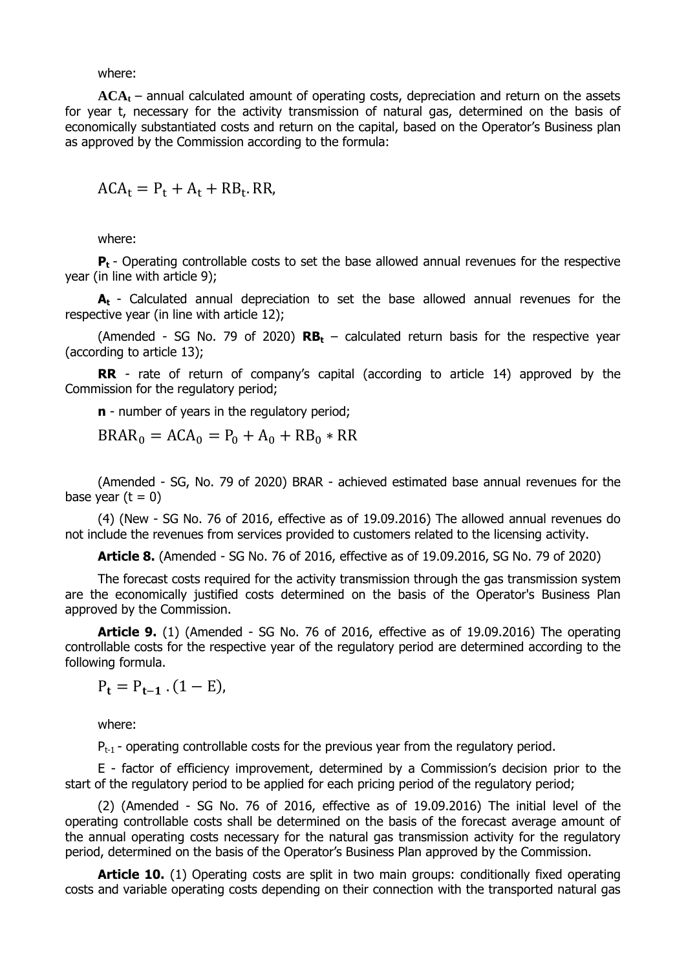where:

**ACA<sup>t</sup>** – annual calculated amount of operating costs, depreciation and return on the assets for year t, necessary for the activity transmission of natural gas, determined on the basis of economically substantiated costs and return on the capital, based on the Operator's Business plan as approved by the Commission according to the formula:

 $ACA_t = P_t + A_t + RB_t$ . RR,

where:

**P<sup>t</sup>** - Operating controllable costs to set the base allowed annual revenues for the respective year (in line with article 9);

**A<sup>t</sup>** - Calculated annual depreciation to set the base allowed annual revenues for the respective year (in line with article 12);

(Amended - SG No. 79 of 2020) **RB<sup>t</sup>** – calculated return basis for the respective year (according to article 13);

**RR** - rate of return of company's capital (according to article 14) approved by the Commission for the regulatory period;

**n** - number of years in the regulatory period;

 $BRAR_0 = ACA_0 = P_0 + A_0 + RB_0 * RR$ 

(Amended - SG, No. 79 of 2020) BRAR - achieved estimated base annual revenues for the base year  $(t = 0)$ 

(4) (New - SG No. 76 of 2016, effective as of 19.09.2016) The allowed annual revenues do not include the revenues from services provided to customers related to the licensing activity.

**Article 8.** (Amended - SG No. 76 of 2016, effective as of 19.09.2016, SG No. 79 of 2020)

The forecast costs required for the activity transmission through the gas transmission system are the economically justified costs determined on the basis of the Operator's Business Plan approved by the Commission.

**Article 9.** (1) (Amended - SG No. 76 of 2016, effective as of 19.09.2016) The operating controllable costs for the respective year of the regulatory period are determined according to the following formula.

 $P_t = P_{t-1}$ . (1 – E),

where:

 $P_{t-1}$  - operating controllable costs for the previous year from the regulatory period.

Е - factor of efficiency improvement, determined by a Commission's decision prior to the start of the regulatory period to be applied for each pricing period of the regulatory period;

(2) (Amended - SG No. 76 of 2016, effective as of 19.09.2016) The initial level of the operating controllable costs shall be determined on the basis of the forecast average amount of the annual operating costs necessary for the natural gas transmission activity for the regulatory period, determined on the basis of the Operator's Business Plan approved by the Commission.

**Article 10.** (1) Operating costs are split in two main groups: conditionally fixed operating costs and variable operating costs depending on their connection with the transported natural gas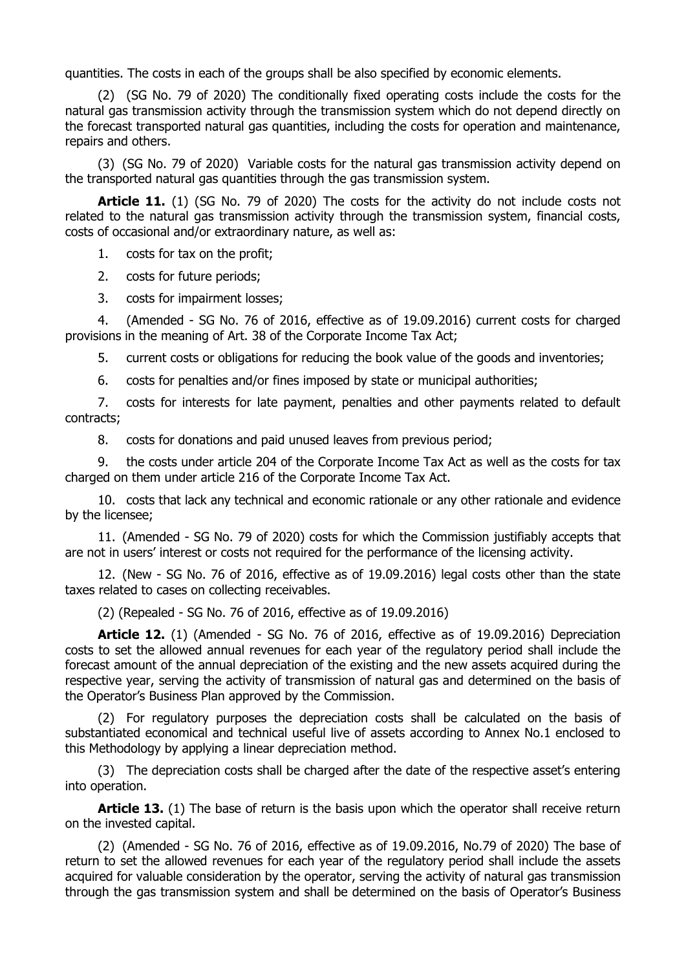quantities. The costs in each of the groups shall be also specified by economic elements.

(2) (SG No. 79 of 2020) The conditionally fixed operating costs include the costs for the natural gas transmission activity through the transmission system which do not depend directly on the forecast transported natural gas quantities, including the costs for operation and maintenance, repairs and others.

(3) (SG No. 79 of 2020) Variable costs for the natural gas transmission activity depend on the transported natural gas quantities through the gas transmission system.

Article 11. (1) (SG No. 79 of 2020) The costs for the activity do not include costs not related to the natural gas transmission activity through the transmission system, financial costs, costs of occasional and/or extraordinary nature, as well as:

1. costs for tax on the profit;

2. costs for future periods;

3. costs for impairment losses;

4. (Amended - SG No. 76 of 2016, effective as of 19.09.2016) current costs for charged provisions in the meaning of Art. 38 of the Corporate Income Tax Act;

5. current costs or obligations for reducing the book value of the goods and inventories;

6. costs for penalties and/or fines imposed by state or municipal authorities;

7. costs for interests for late payment, penalties and other payments related to default contracts;

8. costs for donations and paid unused leaves from previous period;

9. the costs under article 204 of the Corporate Income Tax Act as well as the costs for tax charged on them under article 216 of the Corporate Income Tax Act.

10. costs that lack any technical and economic rationale or any other rationale and evidence by the licensee;

11. (Amended - SG No. 79 of 2020) costs for which the Commission justifiably accepts that are not in users' interest or costs not required for the performance of the licensing activity.

12. (New - SG No. 76 of 2016, effective as of 19.09.2016) legal costs other than the state taxes related to cases on collecting receivables.

(2) (Repealed - SG No. 76 of 2016, effective as of 19.09.2016)

**Article 12.** (1) (Amended - SG No. 76 of 2016, effective as of 19.09.2016) Depreciation costs to set the allowed annual revenues for each year of the regulatory period shall include the forecast amount of the annual depreciation of the existing and the new assets acquired during the respective year, serving the activity of transmission of natural gas and determined on the basis of the Operator's Business Plan approved by the Commission.

(2) For regulatory purposes the depreciation costs shall be calculated on the basis of substantiated economical and technical useful live of assets according to Annex No.1 enclosed to this Methodology by applying a linear depreciation method.

(3) The depreciation costs shall be charged after the date of the respective asset's entering into operation.

**Article 13.** (1) The base of return is the basis upon which the operator shall receive return on the invested capital.

(2) (Amended - SG No. 76 of 2016, effective as of 19.09.2016, No.79 of 2020) The base of return to set the allowed revenues for each year of the regulatory period shall include the assets acquired for valuable consideration by the operator, serving the activity of natural gas transmission through the gas transmission system and shall be determined on the basis of Operator's Business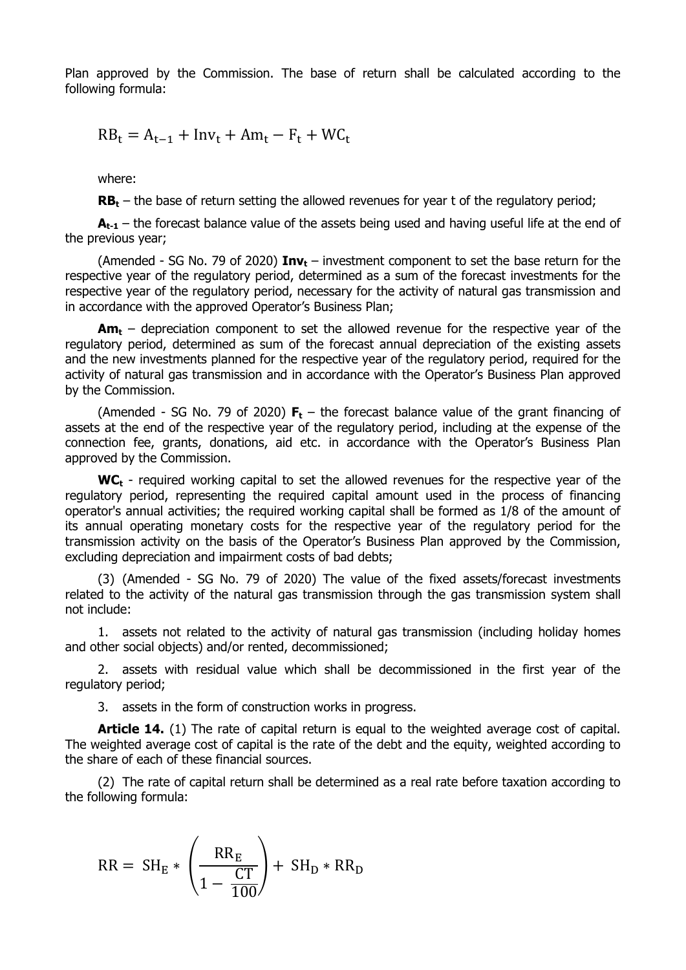Plan approved by the Commission. The base of return shall be calculated according to the following formula:

 $RB_t = A_{t-1} + Inv_t + Am_t - F_t + WC_t$ 

where:

**RB<sup>t</sup>** – the base of return setting the allowed revenues for year t of the regulatory period;

 $A_{t-1}$  – the forecast balance value of the assets being used and having useful life at the end of the previous year;

(Amended - SG No. 79 of 2020) **Inv<sup>t</sup>** – investment component to set the base return for the respective year of the regulatory period, determined as a sum of the forecast investments for the respective year of the regulatory period, necessary for the activity of natural gas transmission and in accordance with the approved Operator's Business Plan;

**Am<sup>t</sup>** – depreciation component to set the allowed revenue for the respective year of the regulatory period, determined as sum of the forecast annual depreciation of the existing assets and the new investments planned for the respective year of the regulatory period, required for the activity of natural gas transmission and in accordance with the Operator's Business Plan approved by the Commission.

(Amended - SG No. 79 of 2020) **F<sup>t</sup>** – the forecast balance value of the grant financing of assets at the end of the respective year of the regulatory period, including at the expense of the connection fee, grants, donations, aid etc. in accordance with the Operator's Business Plan approved by the Commission.

**WC<sup>t</sup>** - required working capital to set the allowed revenues for the respective year of the regulatory period, representing the required capital amount used in the process of financing operator's annual activities; the required working capital shall be formed as 1/8 of the amount of its annual operating monetary costs for the respective year of the regulatory period for the transmission activity on the basis of the Operator's Business Plan approved by the Commission, excluding depreciation and impairment costs of bad debts;

(3) (Amended - SG No. 79 of 2020) The value of the fixed assets/forecast investments related to the activity of the natural gas transmission through the gas transmission system shall not include:

1. assets not related to the activity of natural gas transmission (including holiday homes and other social objects) and/or rented, decommissioned;

2. assets with residual value which shall be decommissioned in the first year of the regulatory period;

3. assets in the form of construction works in progress.

**Article 14.** (1) The rate of capital return is equal to the weighted average cost of capital. The weighted average cost of capital is the rate of the debt and the equity, weighted according to the share of each of these financial sources.

(2) The rate of capital return shall be determined as a real rate before taxation according to the following formula:

$$
RR = SH_E * \left(\frac{RR_E}{1 - \frac{CT}{100}}\right) + SH_D * RR_D
$$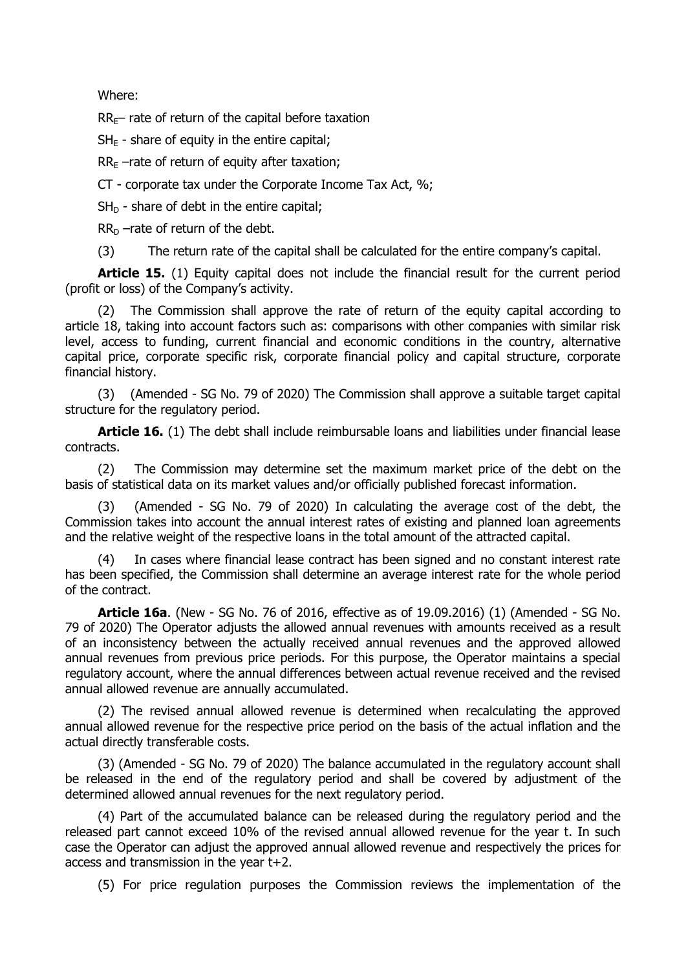Where:

 $RR<sub>E</sub>$  rate of return of the capital before taxation

 $SH_F$  - share of equity in the entire capital;

 $RR<sub>F</sub>$  –rate of return of equity after taxation;

CT - corporate tax under the Corporate Income Tax Act, %;

 $SH<sub>D</sub>$  - share of debt in the entire capital;

 $RR<sub>D</sub>$  –rate of return of the debt.

(3) The return rate of the capital shall be calculated for the entire company's capital.

**Article 15.** (1) Equity capital does not include the financial result for the current period (profit or loss) of the Company's activity.

(2) The Commission shall approve the rate of return of the equity capital according to article 18, taking into account factors such as: comparisons with other companies with similar risk level, access to funding, current financial and economic conditions in the country, alternative capital price, corporate specific risk, corporate financial policy and capital structure, corporate financial history.

(3) (Amended - SG No. 79 of 2020) The Commission shall approve a suitable target capital structure for the regulatory period.

Article 16. (1) The debt shall include reimbursable loans and liabilities under financial lease contracts.

(2) The Commission may determine set the maximum market price of the debt on the basis of statistical data on its market values and/or officially published forecast information.

(3) (Amended - SG No. 79 of 2020) In calculating the average cost of the debt, the Commission takes into account the annual interest rates of existing and planned loan agreements and the relative weight of the respective loans in the total amount of the attracted capital.

(4) In cases where financial lease contract has been signed and no constant interest rate has been specified, the Commission shall determine an average interest rate for the whole period of the contract.

**Article 16a**. (New - SG No. 76 of 2016, effective as of 19.09.2016) (1) (Amended - SG No. 79 of 2020) The Operator adjusts the allowed annual revenues with amounts received as a result of an inconsistency between the actually received annual revenues and the approved allowed annual revenues from previous price periods. For this purpose, the Operator maintains a special regulatory account, where the annual differences between actual revenue received and the revised annual allowed revenue are annually accumulated.

(2) The revised annual allowed revenue is determined when recalculating the approved annual allowed revenue for the respective price period on the basis of the actual inflation and the actual directly transferable costs.

(3) (Amended - SG No. 79 of 2020) The balance accumulated in the regulatory account shall be released in the end of the regulatory period and shall be covered by adjustment of the determined allowed annual revenues for the next regulatory period.

(4) Part of the accumulated balance can be released during the regulatory period and the released part cannot exceed 10% of the revised annual allowed revenue for the year t. In such case the Operator can adjust the approved annual allowed revenue and respectively the prices for access and transmission in the year t+2.

(5) For price regulation purposes the Commission reviews the implementation of the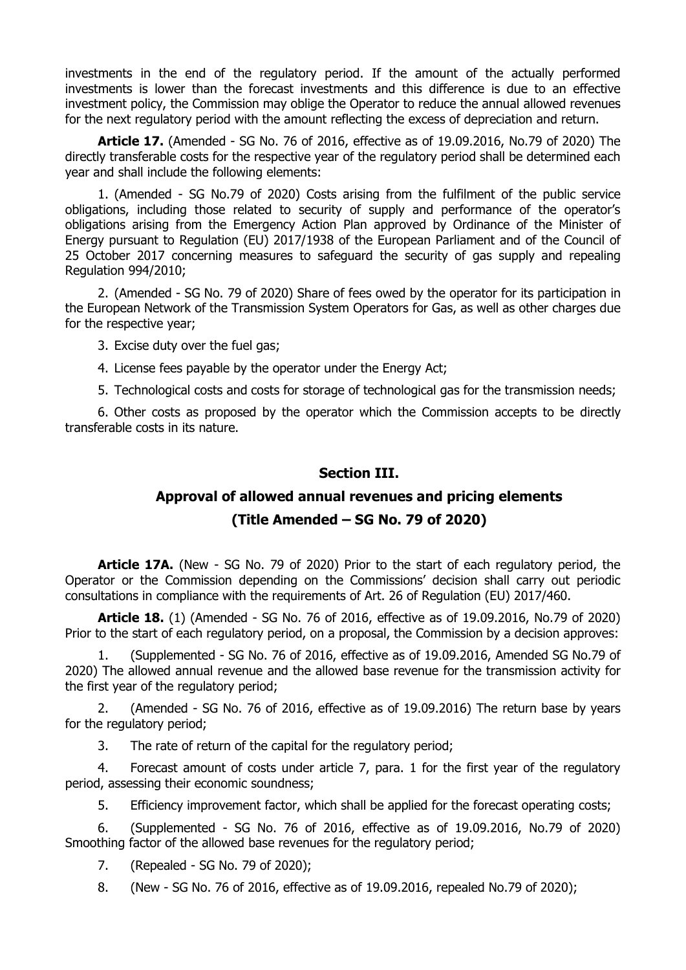investments in the end of the regulatory period. If the amount of the actually performed investments is lower than the forecast investments and this difference is due to an effective investment policy, the Commission may oblige the Operator to reduce the annual allowed revenues for the next regulatory period with the amount reflecting the excess of depreciation and return.

**Article 17.** (Amended - SG No. 76 of 2016, effective as of 19.09.2016, No.79 of 2020) The directly transferable costs for the respective year of the regulatory period shall be determined each year and shall include the following elements:

1. (Amended - SG No.79 of 2020) Costs arising from the fulfilment of the public service obligations, including those related to security of supply and performance of the operator's obligations arising from the Emergency Action Plan approved by Ordinance of the Minister of Energy pursuant to Regulation (EU) 2017/1938 of the European Parliament and of the Council of 25 October 2017 concerning measures to safeguard the security of gas supply and repealing Regulation 994/2010;

2. (Amended - SG No. 79 of 2020) Share of fees owed by the operator for its participation in the European Network of the Transmission System Operators for Gas, as well as other charges due for the respective year;

3. Excise duty over the fuel gas;

4. License fees payable by the operator under the Energy Act;

5. Technological costs and costs for storage of technological gas for the transmission needs;

6. Other costs as proposed by the operator which the Commission accepts to be directly transferable costs in its nature.

### **Section III.**

# **Approval of allowed annual revenues and pricing elements**

### **(Title Amended – SG No. 79 of 2020)**

**Article 17A.** (New - SG No. 79 of 2020) Prior to the start of each regulatory period, the Operator or the Commission depending on the Commissions' decision shall carry out periodic consultations in compliance with the requirements of Art. 26 of Regulation (EU) 2017/460.

**Article 18.** (1) (Amended - SG No. 76 of 2016, effective as of 19.09.2016, No.79 of 2020) Prior to the start of each regulatory period, on a proposal, the Commission by a decision approves:

1. (Supplemented - SG No. 76 of 2016, effective as of 19.09.2016, Amended SG No.79 of 2020) The allowed annual revenue and the allowed base revenue for the transmission activity for the first year of the regulatory period;

2. (Amended - SG No. 76 of 2016, effective as of 19.09.2016) The return base by years for the regulatory period;

3. The rate of return of the capital for the regulatory period;

4. Forecast amount of costs under article 7, para. 1 for the first year of the regulatory period, assessing their economic soundness;

5. Efficiency improvement factor, which shall be applied for the forecast operating costs;

6. (Supplemented - SG No. 76 of 2016, effective as of 19.09.2016, No.79 of 2020) Smoothing factor of the allowed base revenues for the regulatory period;

7. (Repealed - SG No. 79 of 2020);

8. (New - SG No. 76 of 2016, effective as of 19.09.2016, repealed No.79 of 2020);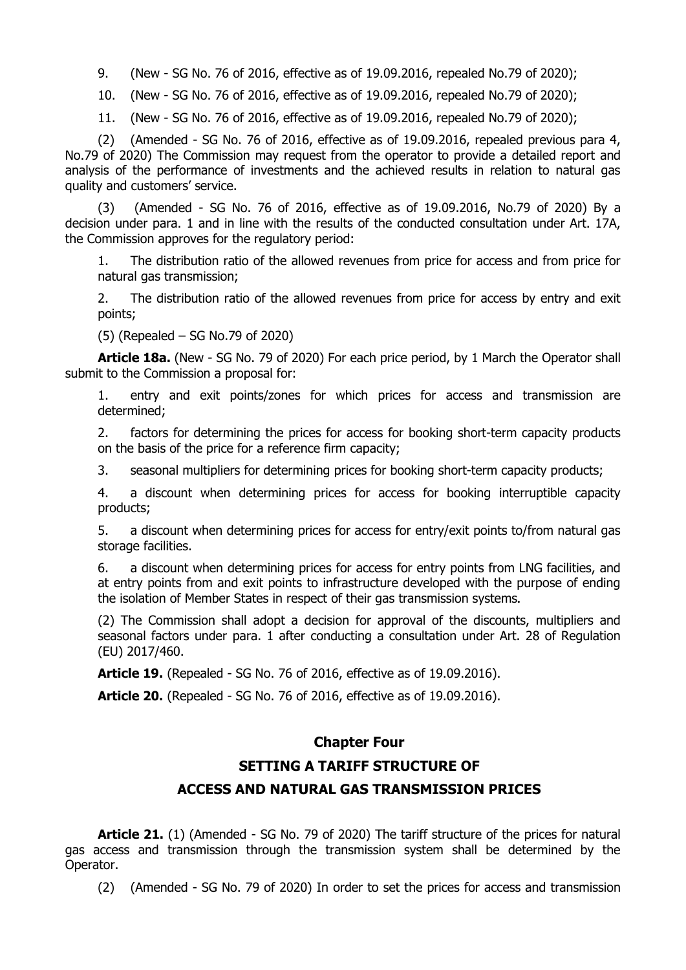9. (New - SG No. 76 of 2016, effective as of 19.09.2016, repealed No.79 of 2020);

10. (New - SG No. 76 of 2016, effective as of 19.09.2016, repealed No.79 of 2020);

11. (New - SG No. 76 of 2016, effective as of 19.09.2016, repealed No.79 of 2020);

(2) (Amended - SG No. 76 of 2016, effective as of 19.09.2016, repealed previous para 4, No.79 of 2020) The Commission may request from the operator to provide a detailed report and analysis of the performance of investments and the achieved results in relation to natural gas quality and customers' service.

(3) (Amended - SG No. 76 of 2016, effective as of 19.09.2016, No.79 of 2020) By a decision under para. 1 and in line with the results of the conducted consultation under Art. 17A, the Commission approves for the regulatory period:

1. The distribution ratio of the allowed revenues from price for access and from price for natural gas transmission;

2. The distribution ratio of the allowed revenues from price for access by entry and exit points;

(5) (Repealed – SG No.79 of 2020)

**Article 18a.** (New - SG No. 79 of 2020) For each price period, by 1 March the Operator shall submit to the Commission a proposal for:

1. entry and exit points/zones for which prices for access and transmission are determined;

2. factors for determining the prices for access for booking short-term capacity products on the basis of the price for a reference firm capacity;

3. seasonal multipliers for determining prices for booking short-term capacity products;

4. a discount when determining prices for access for booking interruptible capacity products;

5. a discount when determining prices for access for entry/exit points to/from natural gas storage facilities.

6. a discount when determining prices for access for entry points from LNG facilities, and at entry points from and exit points to infrastructure developed with the purpose of ending the isolation of Member States in respect of their gas transmission systems**.**

(2) The Commission shall adopt a decision for approval of the discounts, multipliers and seasonal factors under para. 1 after conducting a consultation under Art. 28 of Regulation (EU) 2017/460.

**Article 19.** (Repealed - SG No. 76 of 2016, effective as of 19.09.2016).

**Article 20.** (Repealed - SG No. 76 of 2016, effective as of 19.09.2016).

### **Chapter Four**

### **SETTING A TARIFF STRUCTURE OF**

### **ACCESS AND NATURAL GAS TRANSMISSION PRICES**

**Article 21.** (1) (Amended - SG No. 79 of 2020) The tariff structure of the prices for natural gas access and transmission through the transmission system shall be determined by the Operator.

(2) (Amended - SG No. 79 of 2020) In order to set the prices for access and transmission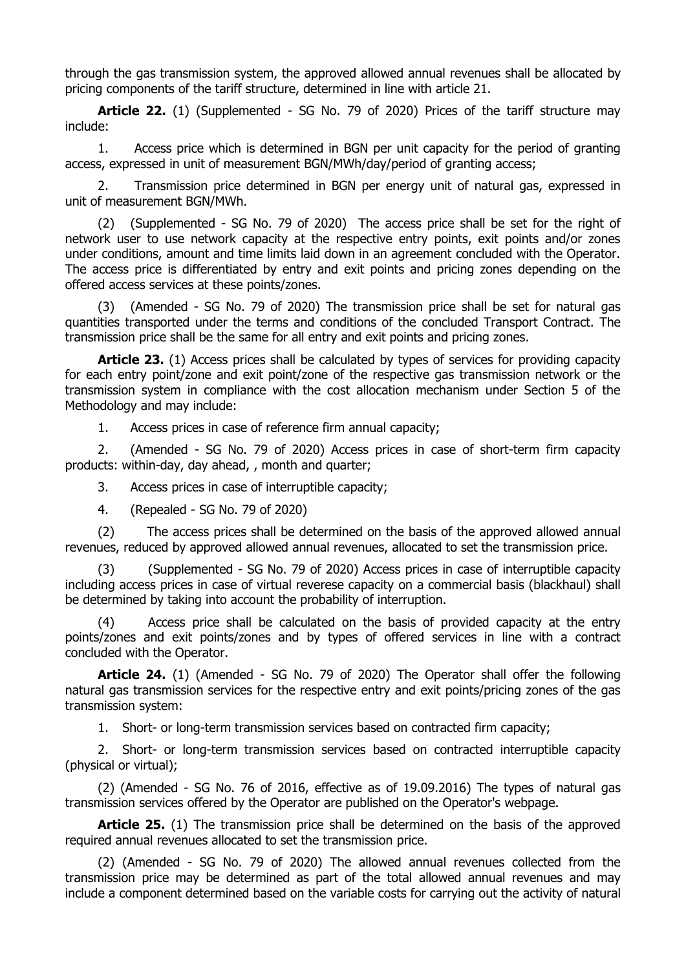through the gas transmission system, the approved allowed annual revenues shall be allocated by pricing components of the tariff structure, determined in line with article 21.

**Article 22.** (1) (Supplemented - SG No. 79 of 2020) Prices of the tariff structure may include:

1. Access price which is determined in BGN per unit capacity for the period of granting access, expressed in unit of measurement BGN/MWh/day/period of granting access;

2. Transmission price determined in BGN per energy unit of natural gas, expressed in unit of measurement BGN/MWh.

(2) (Supplemented - SG No. 79 of 2020) The access price shall be set for the right of network user to use network capacity at the respective entry points, exit points and/or zones under conditions, amount and time limits laid down in an agreement concluded with the Operator. The access price is differentiated by entry and exit points and pricing zones depending on the offered access services at these points/zones.

(3) (Amended - SG No. 79 of 2020) The transmission price shall be set for natural gas quantities transported under the terms and conditions of the concluded Transport Contract. The transmission price shall be the same for all entry and exit points and pricing zones.

**Article 23.** (1) Access prices shall be calculated by types of services for providing capacity for each entry point/zone and exit point/zone of the respective gas transmission network or the transmission system in compliance with the cost allocation mechanism under Section 5 of the Methodology and may include:

1. Access prices in case of reference firm annual capacity;

2. (Amended - SG No. 79 of 2020) Access prices in case of short-term firm capacity products: within-day, day ahead, , month and quarter;

3. Access prices in case of interruptible capacity;

4. (Repealed - SG No. 79 of 2020)

(2) The access prices shall be determined on the basis of the approved allowed annual revenues, reduced by approved allowed annual revenues, allocated to set the transmission price.

(3) (Supplemented - SG No. 79 of 2020) Access prices in case of interruptible capacity including access prices in case of virtual reverese capacity on a commercial basis (blackhaul) shall be determined by taking into account the probability of interruption.

(4) Access price shall be calculated on the basis of provided capacity at the entry points/zones and exit points/zones and by types of offered services in line with a contract concluded with the Operator.

**Article 24.** (1) (Amended - SG No. 79 of 2020) The Operator shall offer the following natural gas transmission services for the respective entry and exit points/pricing zones of the gas transmission system:

1. Short- or long-term transmission services based on contracted firm capacity;

2. Short- or long-term transmission services based on contracted interruptible capacity (physical or virtual);

(2) (Amended - SG No. 76 of 2016, effective as of 19.09.2016) The types of natural gas transmission services offered by the Operator are published on the Operator's webpage.

**Article 25.** (1) The transmission price shall be determined on the basis of the approved required annual revenues allocated to set the transmission price.

(2) (Amended - SG No. 79 of 2020) The allowed annual revenues collected from the transmission price may be determined as part of the total allowed annual revenues and may include a component determined based on the variable costs for carrying out the activity of natural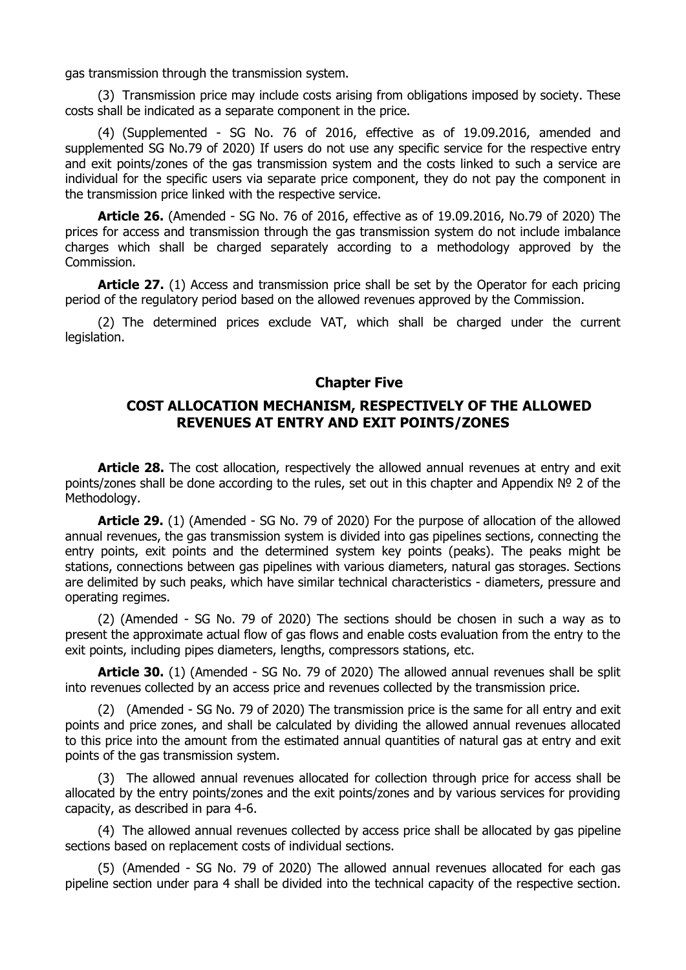gas transmission through the transmission system.

(3) Transmission price may include costs arising from obligations imposed by society. These costs shall be indicated as a separate component in the price.

(4) (Supplemented - SG No. 76 of 2016, effective as of 19.09.2016, amended and supplemented SG No.79 of 2020) If users do not use any specific service for the respective entry and exit points/zones of the gas transmission system and the costs linked to such a service are individual for the specific users via separate price component, they do not pay the component in the transmission price linked with the respective service.

**Article 26.** (Amended - SG No. 76 of 2016, effective as of 19.09.2016, No.79 of 2020) The prices for access and transmission through the gas transmission system do not include imbalance charges which shall be charged separately according to a methodology approved by the Commission.

**Article 27.** (1) Access and transmission price shall be set by the Operator for each pricing period of the regulatory period based on the allowed revenues approved by the Commission.

(2) The determined prices exclude VAT, which shall be charged under the current legislation.

#### **Chapter Five**

### **COST ALLOCATION MECHANISM, RESPECTIVELY OF THE ALLOWED REVENUES AT ENTRY AND EXIT POINTS/ZONES**

**Article 28.** The cost allocation, respectively the allowed annual revenues at entry and exit points/zones shall be done according to the rules, set out in this chapter and Appendix Nº 2 of the Methodology.

**Article 29.** (1) (Amended - SG No. 79 of 2020) For the purpose of allocation of the allowed annual revenues, the gas transmission system is divided into gas pipelines sections, connecting the entry points, exit points and the determined system key points (peaks). The peaks might be stations, connections between gas pipelines with various diameters, natural gas storages. Sections are delimited by such peaks, which have similar technical characteristics - diameters, pressure and operating regimes.

(2) (Amended - SG No. 79 of 2020) The sections should be chosen in such a way as to present the approximate actual flow of gas flows and enable costs evaluation from the entry to the exit points, including pipes diameters, lengths, compressors stations, etc.

**Article 30.** (1) (Amended - SG No. 79 of 2020) The allowed annual revenues shall be split into revenues collected by an access price and revenues collected by the transmission price.

(2) (Amended - SG No. 79 of 2020) The transmission price is the same for all entry and exit points and price zones, and shall be calculated by dividing the allowed annual revenues allocated to this price into the amount from the estimated annual quantities of natural gas at entry and exit points of the gas transmission system.

(3) The allowed annual revenues allocated for collection through price for access shall be allocated by the entry points/zones and the exit points/zones and by various services for providing capacity, as described in para 4-6.

(4) The allowed annual revenues collected by access price shall be allocated by gas pipeline sections based on replacement costs of individual sections.

(5) (Amended - SG No. 79 of 2020) The allowed annual revenues allocated for each gas pipeline section under para 4 shall be divided into the technical capacity of the respective section.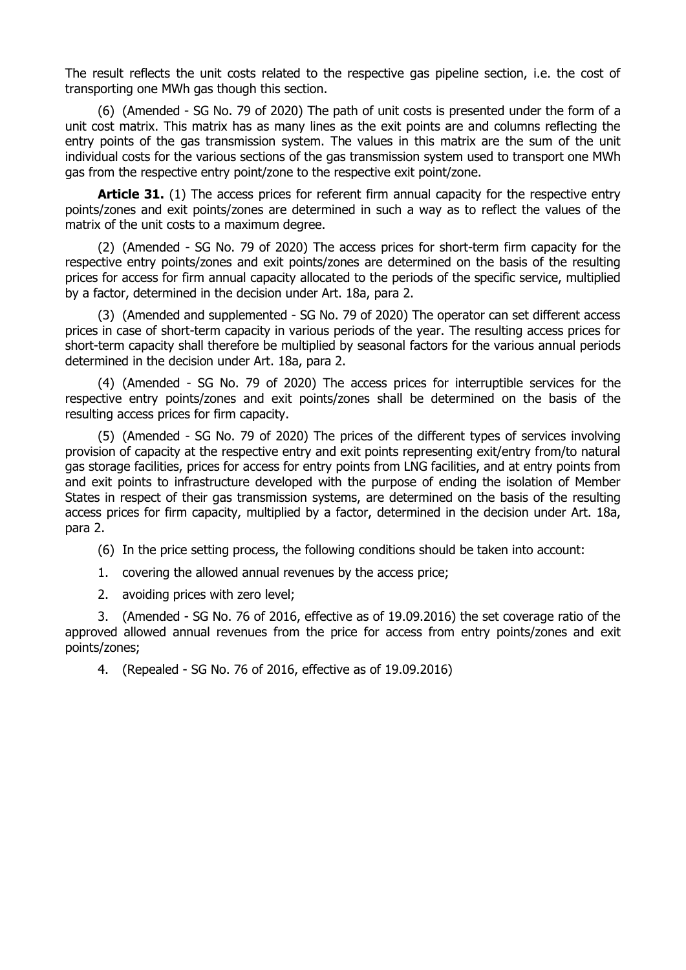The result reflects the unit costs related to the respective gas pipeline section, i.e. the cost of transporting one MWh gas though this section.

(6) (Amended - SG No. 79 of 2020) The path of unit costs is presented under the form of a unit cost matrix. This matrix has as many lines as the exit points are and columns reflecting the entry points of the gas transmission system. The values in this matrix are the sum of the unit individual costs for the various sections of the gas transmission system used to transport one MWh gas from the respective entry point/zone to the respective exit point/zone.

**Article 31.** (1) The access prices for referent firm annual capacity for the respective entry points/zones and exit points/zones are determined in such a way as to reflect the values of the matrix of the unit costs to a maximum degree.

(2) (Amended - SG No. 79 of 2020) The access prices for short-term firm capacity for the respective entry points/zones and exit points/zones are determined on the basis of the resulting prices for access for firm annual capacity allocated to the periods of the specific service, multiplied by a factor, determined in the decision under Art. 18a, para 2.

(3) (Amended and supplemented - SG No. 79 of 2020) The operator can set different access prices in case of short-term capacity in various periods of the year. The resulting access prices for short-term capacity shall therefore be multiplied by seasonal factors for the various annual periods determined in the decision under Art. 18a, para 2.

(4) (Amended - SG No. 79 of 2020) The access prices for interruptible services for the respective entry points/zones and exit points/zones shall be determined on the basis of the resulting access prices for firm capacity.

(5) (Amended - SG No. 79 of 2020) The prices of the different types of services involving provision of capacity at the respective entry and exit points representing exit/entry from/to natural gas storage facilities, prices for access for entry points from LNG facilities, and at entry points from and exit points to infrastructure developed with the purpose of ending the isolation of Member States in respect of their gas transmission systems, are determined on the basis of the resulting access prices for firm capacity, multiplied by a factor, determined in the decision under Art. 18a, para 2.

(6) In the price setting process, the following conditions should be taken into account:

1. covering the allowed annual revenues by the access price;

2. avoiding prices with zero level;

3. (Amended - SG No. 76 of 2016, effective as of 19.09.2016) the set coverage ratio of the approved allowed annual revenues from the price for access from entry points/zones and exit points/zones;

4. (Repealed - SG No. 76 of 2016, effective as of 19.09.2016)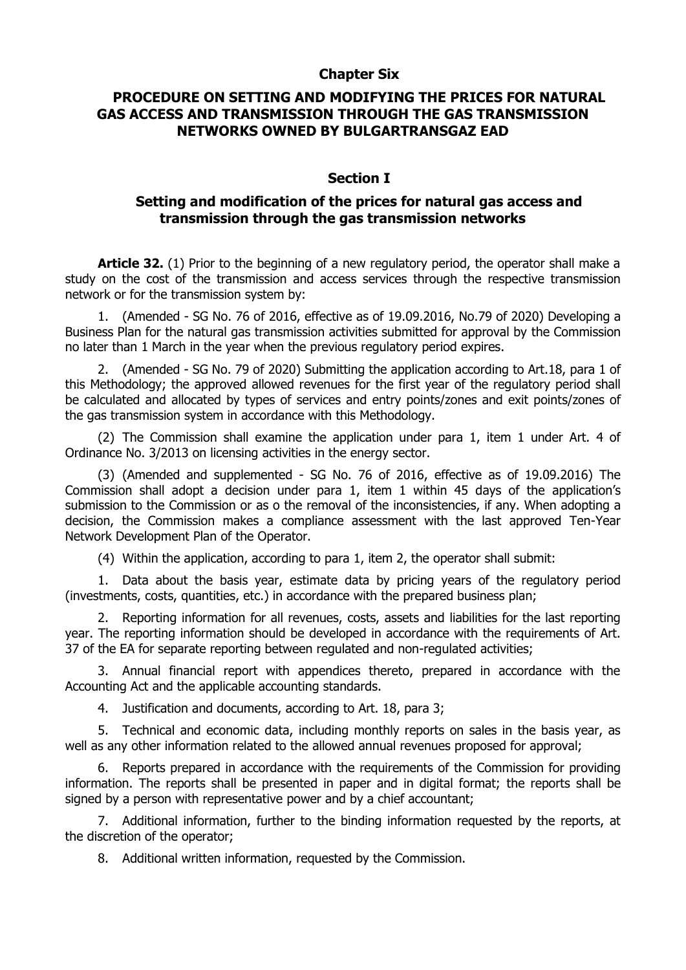### **Chapter Six**

### **PROCEDURE ON SETTING AND MODIFYING THE PRICES FOR NATURAL GAS ACCESS AND TRANSMISSION THROUGH THE GAS TRANSMISSION NETWORKS OWNED BY BULGARTRANSGAZ EAD**

#### **Section I**

### **Setting and modification of the prices for natural gas access and transmission through the gas transmission networks**

**Article 32.** (1) Prior to the beginning of a new regulatory period, the operator shall make a study on the cost of the transmission and access services through the respective transmission network or for the transmission system by:

1. (Amended - SG No. 76 of 2016, effective as of 19.09.2016, No.79 of 2020) Developing a Business Plan for the natural gas transmission activities submitted for approval by the Commission no later than 1 March in the year when the previous regulatory period expires.

2. (Amended - SG No. 79 of 2020) Submitting the application according to Art.18, para 1 of this Methodology; the approved allowed revenues for the first year of the regulatory period shall be calculated and allocated by types of services and entry points/zones and exit points/zones of the gas transmission system in accordance with this Methodology.

(2) The Commission shall examine the application under para 1, item 1 under Art. 4 of Ordinance No. 3/2013 on licensing activities in the energy sector.

(3) (Amended and supplemented - SG No. 76 of 2016, effective as of 19.09.2016) The Commission shall adopt a decision under para 1, item 1 within 45 days of the application's submission to the Commission or as o the removal of the inconsistencies, if any. When adopting a decision, the Commission makes a compliance assessment with the last approved Ten-Year Network Development Plan of the Operator.

(4) Within the application, according to para 1, item 2, the operator shall submit:

1. Data about the basis year, estimate data by pricing years of the regulatory period (investments, costs, quantities, etc.) in accordance with the prepared business plan;

2. Reporting information for all revenues, costs, assets and liabilities for the last reporting year. The reporting information should be developed in accordance with the requirements of Art. 37 of the EA for separate reporting between regulated and non-regulated activities;

3. Annual financial report with appendices thereto, prepared in accordance with the Accounting Act and the applicable accounting standards.

4. Justification and documents, according to Art. 18, para 3;

5. Technical and economic data, including monthly reports on sales in the basis year, as well as any other information related to the allowed annual revenues proposed for approval;

6. Reports prepared in accordance with the requirements of the Commission for providing information. The reports shall be presented in paper and in digital format; the reports shall be signed by a person with representative power and by a chief accountant;

7. Additional information, further to the binding information requested by the reports, at the discretion of the operator;

8. Additional written information, requested by the Commission.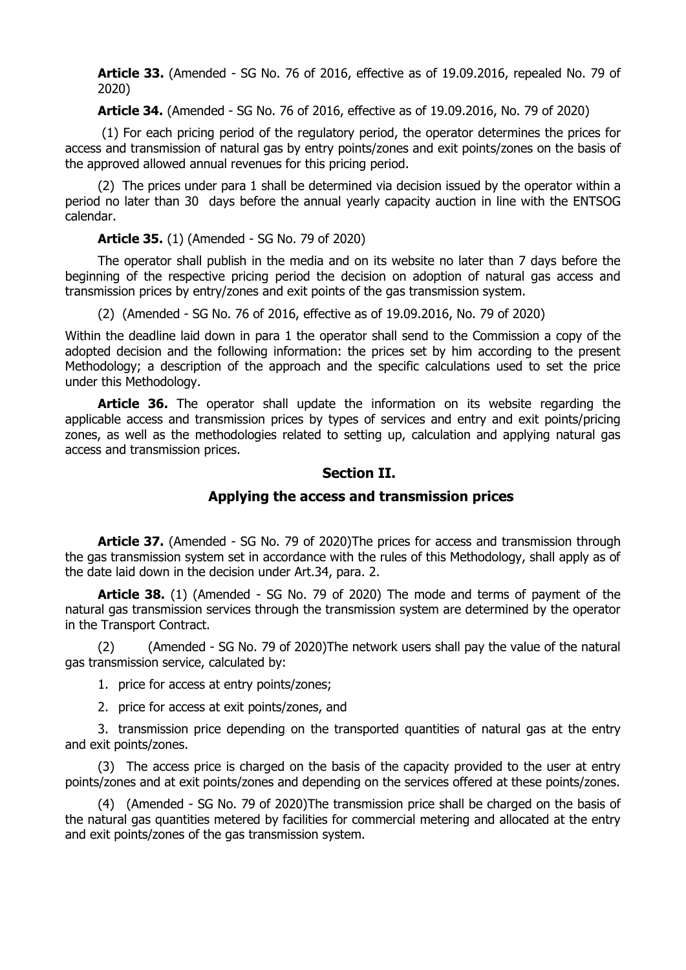**Article 33.** (Amended - SG No. 76 of 2016, effective as of 19.09.2016, repealed No. 79 of 2020)

**Article 34.** (Amended - SG No. 76 of 2016, effective as of 19.09.2016, No. 79 of 2020)

(1) For each pricing period of the regulatory period, the operator determines the prices for access and transmission of natural gas by entry points/zones and exit points/zones on the basis of the approved allowed annual revenues for this pricing period.

(2) The prices under para 1 shall be determined via decision issued by the operator within a period no later than 30 days before the annual yearly capacity auction in line with the ENTSOG calendar.

**Article 35.** (1) (Amended - SG No. 79 of 2020)

The operator shall publish in the media and on its website no later than 7 days before the beginning of the respective pricing period the decision on adoption of natural gas access and transmission prices by entry/zones and exit points of the gas transmission system.

(2) (Amended - SG No. 76 of 2016, effective as of 19.09.2016, No. 79 of 2020)

Within the deadline laid down in para 1 the operator shall send to the Commission a copy of the adopted decision and the following information: the prices set by him according to the present Methodology; a description of the approach and the specific calculations used to set the price under this Methodology.

**Article 36.** The operator shall update the information on its website regarding the applicable access and transmission prices by types of services and entry and exit points/pricing zones, as well as the methodologies related to setting up, calculation and applying natural gas access and transmission prices.

### **Section II.**

### **Applying the access and transmission prices**

**Article 37.** (Amended - SG No. 79 of 2020)The prices for access and transmission through the gas transmission system set in accordance with the rules of this Methodology, shall apply as of the date laid down in the decision under Art.34, para. 2.

**Article 38.** (1) (Amended - SG No. 79 of 2020) The mode and terms of payment of the natural gas transmission services through the transmission system are determined by the operator in the Transport Contract.

(2) (Amended - SG No. 79 of 2020)The network users shall pay the value of the natural gas transmission service, calculated by:

1. price for access at entry points/zones;

2. price for access at exit points/zones, and

3. transmission price depending on the transported quantities of natural gas at the entry and exit points/zones.

(3) The access price is charged on the basis of the capacity provided to the user at entry points/zones and at exit points/zones and depending on the services offered at these points/zones.

(4) (Amended - SG No. 79 of 2020)The transmission price shall be charged on the basis of the natural gas quantities metered by facilities for commercial metering and allocated at the entry and exit points/zones of the gas transmission system.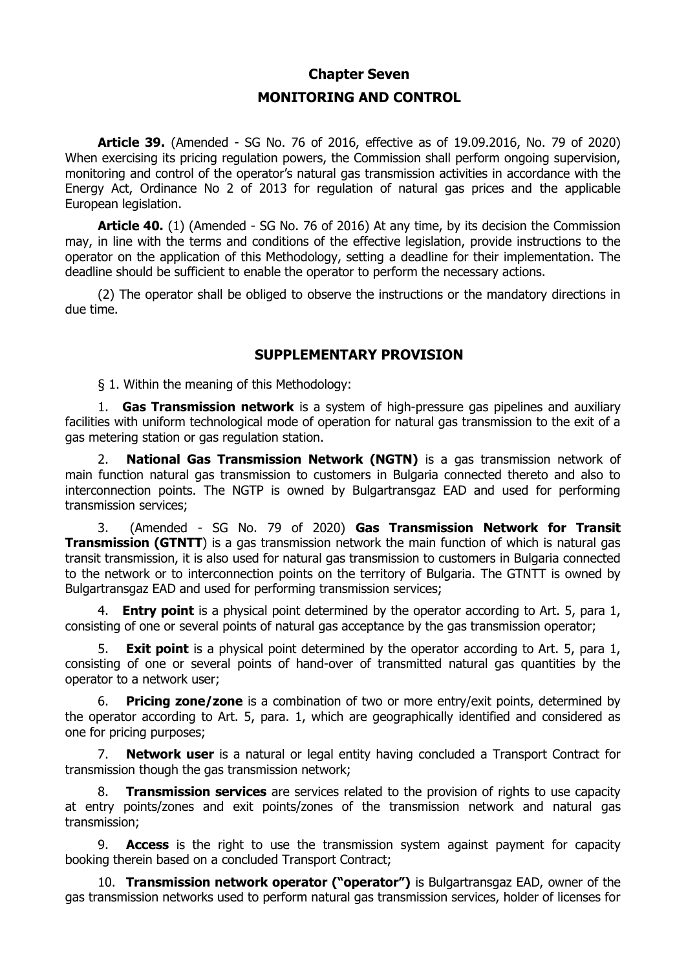#### **Chapter Seven**

### **MONITORING AND CONTROL**

**Article 39.** (Amended - SG No. 76 of 2016, effective as of 19.09.2016, No. 79 of 2020) When exercising its pricing regulation powers, the Commission shall perform ongoing supervision, monitoring and control of the operator's natural gas transmission activities in accordance with the Energy Act, Ordinance No 2 of 2013 for regulation of natural gas prices and the applicable European legislation.

**Article 40.** (1) (Amended - SG No. 76 of 2016) At any time, by its decision the Commission may, in line with the terms and conditions of the effective legislation, provide instructions to the operator on the application of this Methodology, setting a deadline for their implementation. The deadline should be sufficient to enable the operator to perform the necessary actions.

(2) The operator shall be obliged to observe the instructions or the mandatory directions in due time.

#### **SUPPLEMENTARY PROVISION**

§ 1. Within the meaning of this Methodology:

1. **Gas Transmission network** is a system of high-pressure gas pipelines and auxiliary facilities with uniform technological mode of operation for natural gas transmission to the exit of a gas metering station or gas regulation station.

2. **National Gas Transmission Network (NGTN)** is a gas transmission network of main function natural gas transmission to customers in Bulgaria connected thereto and also to interconnection points. The NGTP is owned by Bulgartransgaz EAD and used for performing transmission services;

3. (Amended - SG No. 79 of 2020) **Gas Transmission Network for Transit Transmission (GTNTT)** is a gas transmission network the main function of which is natural gas transit transmission, it is also used for natural gas transmission to customers in Bulgaria connected to the network or to interconnection points on the territory of Bulgaria. The GTNTT is owned by Bulgartransgaz EAD and used for performing transmission services;

**Entry point** is a physical point determined by the operator according to Art. 5, para 1, consisting of one or several points of natural gas acceptance by the gas transmission operator;

5. **Exit point** is a physical point determined by the operator according to Art. 5, para 1, consisting of one or several points of hand-over of transmitted natural gas quantities by the operator to a network user;

6. **Pricing zone/zone** is a combination of two or more entry/exit points, determined by the operator according to Art. 5, para. 1, which are geographically identified and considered as one for pricing purposes;

7. **Network user** is a natural or legal entity having concluded a Transport Contract for transmission though the gas transmission network;

8. **Transmission services** are services related to the provision of rights to use capacity at entry points/zones and exit points/zones of the transmission network and natural gas transmission;

9. **Access** is the right to use the transmission system against payment for capacity booking therein based on a concluded Transport Contract;

10. **Transmission network operator ("operator")** is Bulgartransgaz EAD, owner of the gas transmission networks used to perform natural gas transmission services, holder of licenses for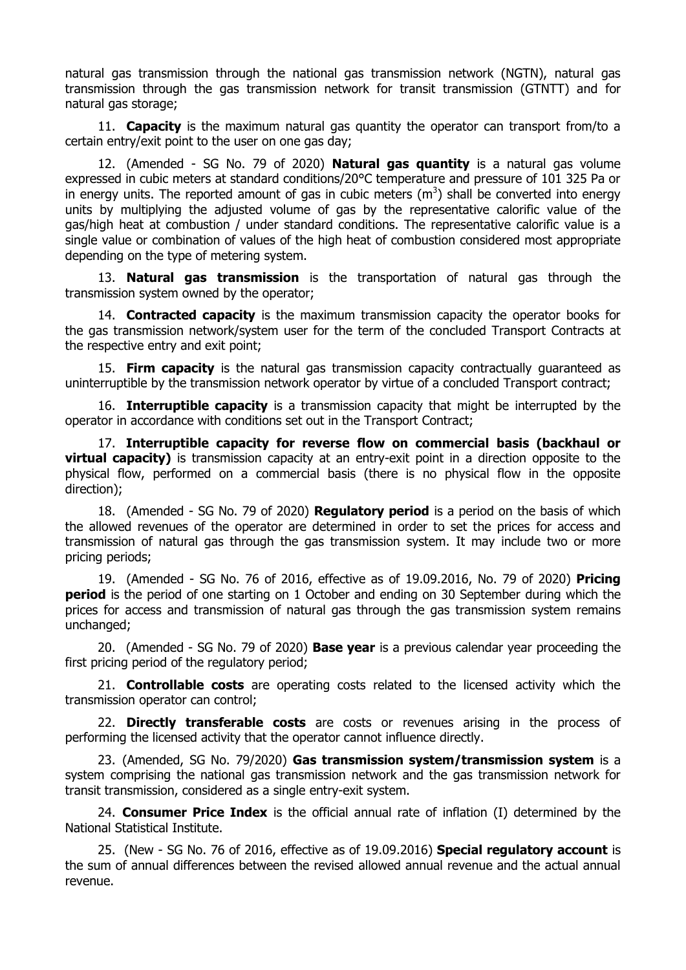natural gas transmission through the national gas transmission network (NGTN), natural gas transmission through the gas transmission network for transit transmission (GTNTT) and for natural gas storage;

11. **Capacity** is the maximum natural gas quantity the operator can transport from/to a certain entry/exit point to the user on one gas day;

12. (Amended - SG No. 79 of 2020) **Natural gas quantity** is a natural gas volume expressed in cubic meters at standard conditions/20°C temperature and pressure of 101 325 Pa or in energy units. The reported amount of gas in cubic meters  $(m^3)$  shall be converted into energy units by multiplying the adjusted volume of gas by the representative calorific value of the gas/high heat at combustion / under standard conditions. The representative calorific value is a single value or combination of values of the high heat of combustion considered most appropriate depending on the type of metering system.

13. **Natural gas transmission** is the transportation of natural gas through the transmission system owned by the operator;

14. **Contracted capacity** is the maximum transmission capacity the operator books for the gas transmission network/system user for the term of the concluded Transport Contracts at the respective entry and exit point;

15. **Firm capacity** is the natural gas transmission capacity contractually guaranteed as uninterruptible by the transmission network operator by virtue of a concluded Transport contract;

16. **Interruptible capacity** is a transmission capacity that might be interrupted by the operator in accordance with conditions set out in the Transport Contract;

17. **Interruptible capacity for reverse flow on commercial basis (backhaul or virtual capacity)** is transmission capacity at an entry-exit point in a direction opposite to the physical flow, performed on a commercial basis (there is no physical flow in the opposite direction);

18. (Amended - SG No. 79 of 2020) **Regulatory period** is a period on the basis of which the allowed revenues of the operator are determined in order to set the prices for access and transmission of natural gas through the gas transmission system. It may include two or more pricing periods;

19. (Amended - SG No. 76 of 2016, effective as of 19.09.2016, No. 79 of 2020) **Pricing period** is the period of one starting on 1 October and ending on 30 September during which the prices for access and transmission of natural gas through the gas transmission system remains unchanged;

20. (Amended - SG No. 79 of 2020) **Base year** is a previous calendar year proceeding the first pricing period of the regulatory period;

21. **Controllable costs** are operating costs related to the licensed activity which the transmission operator can control;

22. **Directly transferable costs** are costs or revenues arising in the process of performing the licensed activity that the operator cannot influence directly.

23. (Amended, SG No. 79/2020) **Gas transmission system/transmission system** is a system comprising the national gas transmission network and the gas transmission network for transit transmission, considered as a single entry-exit system.

24. **Consumer Price Index** is the official annual rate of inflation (I) determined by the National Statistical Institute.

25. (New - SG No. 76 of 2016, effective as of 19.09.2016) **Special regulatory account** is the sum of annual differences between the revised allowed annual revenue and the actual annual revenue.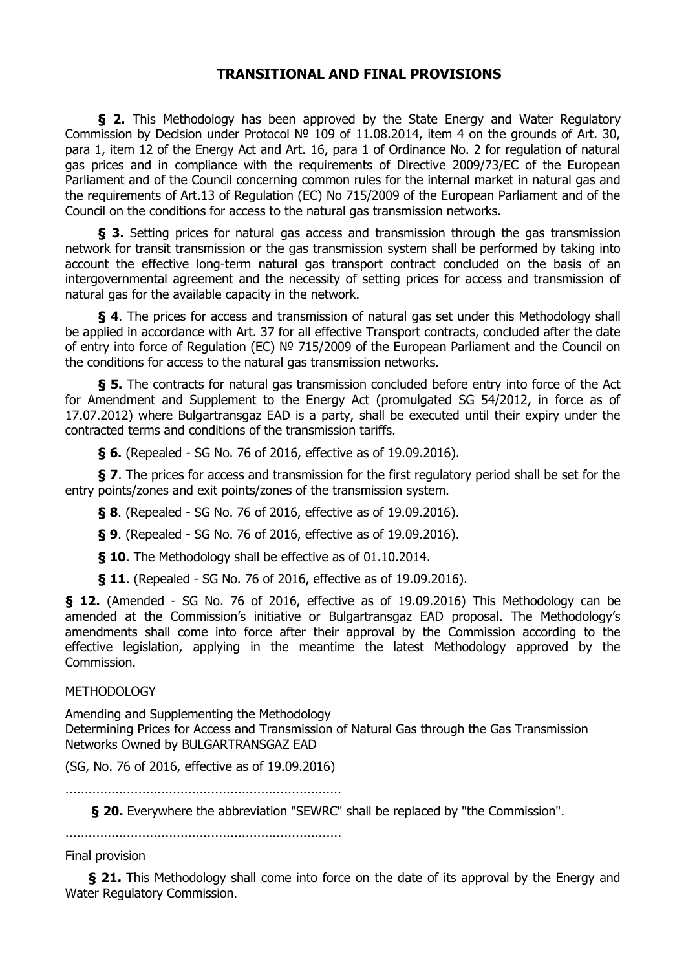### **TRANSITIONAL AND FINAL PROVISIONS**

**§ 2.** This Methodology has been approved by the State Energy and Water Regulatory Commission by Decision under Protocol № 109 of 11.08.2014, item 4 on the grounds of Art. 30, para 1, item 12 of the Energy Act and Art. 16, para 1 of Ordinance No. 2 for regulation of natural gas prices and in compliance with the requirements of Directive 2009/73/EC of the European Parliament and of the Council concerning common rules for the internal market in natural gas and the requirements of Art.13 of Regulation (EC) No 715/2009 of the European Parliament and of the Council on the conditions for access to the natural gas transmission networks.

**§ 3.** Setting prices for natural gas access and transmission through the gas transmission network for transit transmission or the gas transmission system shall be performed by taking into account the effective long-term natural gas transport contract concluded on the basis of an intergovernmental agreement and the necessity of setting prices for access and transmission of natural gas for the available capacity in the network.

**§ 4**. The prices for access and transmission of natural gas set under this Methodology shall be applied in accordance with Art. 37 for all effective Transport contracts, concluded after the date of entry into force of Regulation (EC) № 715/2009 of the European Parliament and the Council on the conditions for access to the natural gas transmission networks.

**§ 5.** The contracts for natural gas transmission concluded before entry into force of the Act for Amendment and Supplement to the Energy Act (promulgated SG 54/2012, in force as of 17.07.2012) where Bulgartransgaz EAD is a party, shall be executed until their expiry under the contracted terms and conditions of the transmission tariffs.

**§ 6.** (Repealed - SG No. 76 of 2016, effective as of 19.09.2016).

**§ 7**. The prices for access and transmission for the first regulatory period shall be set for the entry points/zones and exit points/zones of the transmission system.

**§ 8**. (Repealed - SG No. 76 of 2016, effective as of 19.09.2016).

**§ 9**. (Repealed - SG No. 76 of 2016, effective as of 19.09.2016).

**§ 10**. The Methodology shall be effective as of 01.10.2014.

**§ 11**. (Repealed - SG No. 76 of 2016, effective as of 19.09.2016).

**§ 12.** (Amended - SG No. 76 of 2016, effective as of 19.09.2016) This Methodology can be amended at the Commission's initiative or Bulgartransgaz EAD proposal. The Methodology's amendments shall come into force after their approval by the Commission according to the effective legislation, applying in the meantime the latest Methodology approved by the Commission.

#### METHODOLOGY

Amending and Supplementing the Methodology Determining Prices for Access and Transmission of Natural Gas through the Gas Transmission Networks Owned by BULGARTRANSGAZ EAD

(SG, No. 76 of 2016, effective as of 19.09.2016)

........................................................................

 **§ 20.** Everywhere the abbreviation "SEWRC" shall be replaced by "the Commission".

........................................................................

Final provision

**§ 21.** This Methodology shall come into force on the date of its approval by the Energy and Water Regulatory Commission.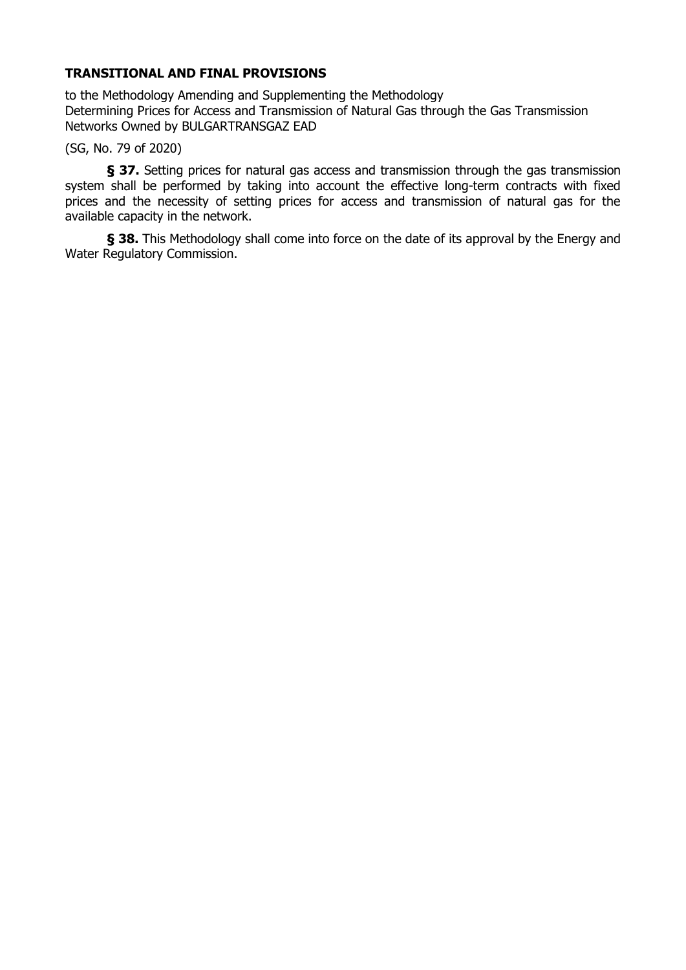### **TRANSITIONAL AND FINAL PROVISIONS**

to the Methodology Amending and Supplementing the Methodology Determining Prices for Access and Transmission of Natural Gas through the Gas Transmission Networks Owned by BULGARTRANSGAZ EAD

(SG, No. 79 of 2020)

**§ 37.** Setting prices for natural gas access and transmission through the gas transmission system shall be performed by taking into account the effective long-term contracts with fixed prices and the necessity of setting prices for access and transmission of natural gas for the available capacity in the network.

**§ 38.** This Methodology shall come into force on the date of its approval by the Energy and Water Regulatory Commission.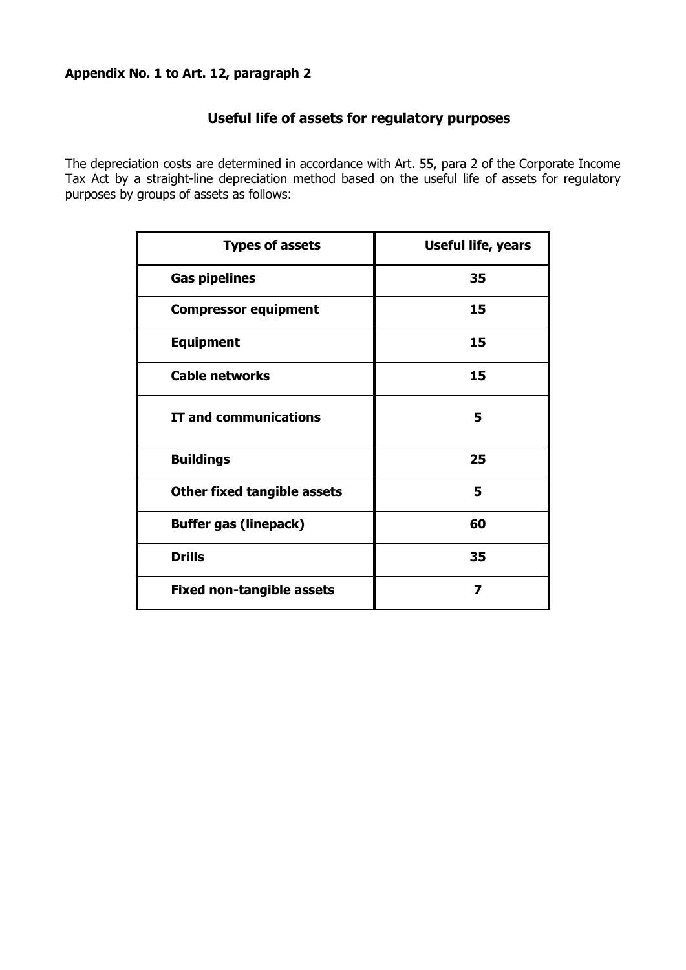### **Appendix No. 1 to Art. 12, paragraph 2**

### **Useful life of assets for regulatory purposes**

The depreciation costs are determined in accordance with Art. 55, para 2 of the Corporate Income Tax Act by a straight-line depreciation method based on the useful life of assets for regulatory purposes by groups of assets as follows:

| <b>Types of assets</b>             | <b>Useful life, years</b> |
|------------------------------------|---------------------------|
| <b>Gas pipelines</b>               | 35                        |
| <b>Compressor equipment</b>        | 15                        |
| <b>Equipment</b>                   | 15                        |
| <b>Cable networks</b>              | 15                        |
| <b>IT and communications</b>       | 5                         |
| <b>Buildings</b>                   | 25                        |
| <b>Other fixed tangible assets</b> | 5                         |
| <b>Buffer gas (linepack)</b>       | 60                        |
| <b>Drills</b>                      | 35                        |
| <b>Fixed non-tangible assets</b>   | 7                         |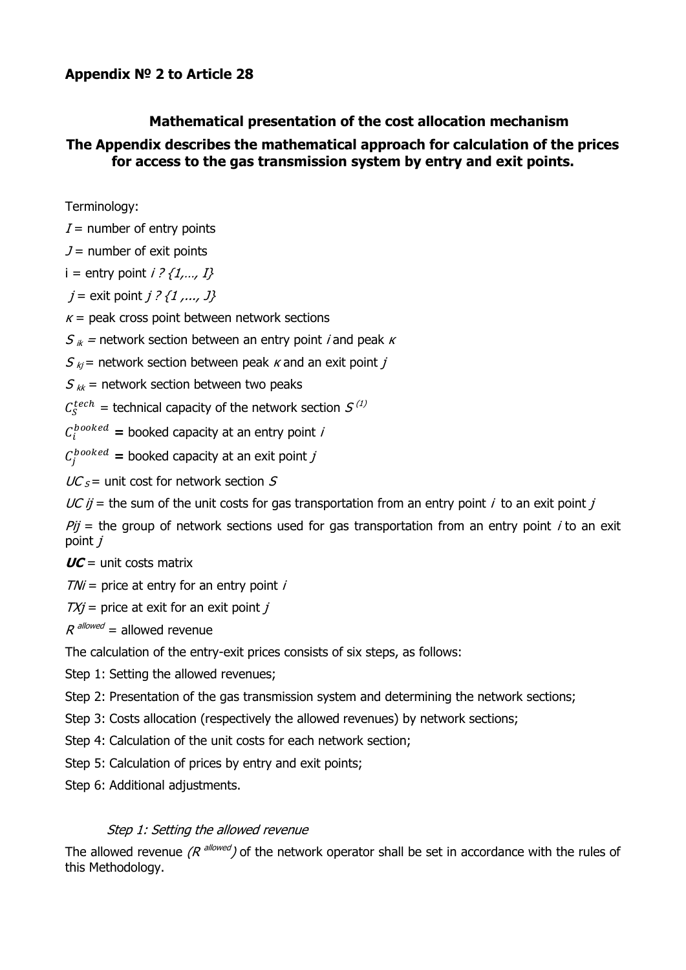### **Appendix № 2 to Article 28**

# **Mathematical presentation of the cost allocation mechanism**

### **The Appendix describes the mathematical approach for calculation of the prices for access to the gas transmission system by entry and exit points.**

Terminology:

 $I =$  number of entry points

 $J =$  number of exit points

i = entry point  $i$  ?  $\{1, ..., I\}$ 

 $j =$  exit point  $j$  ?  $\{1, ..., J\}$ 

 $\kappa$  = peak cross point between network sections

 $S_{ik}$  = network section between an entry point *i* and peak *k* 

 $S_{ki}$  = network section between peak *k* and an exit point *j* 

 $S_{kk}$  = network section between two peaks

 $C_S^{tech}$  = technical capacity of the network section  $S^{(1)}$ 

 $C_i^{booked}$  = booked capacity at an entry point *i* 

 $C_j^{booked}$  = booked capacity at an exit point *j* 

 $UC<sub>S</sub>$  = unit cost for network section S

 $UC$  ij = the sum of the unit costs for gas transportation from an entry point i to an exit point j

 $Pi =$  the group of network sections used for gas transportation from an entry point *i* to an exit point  $$ 

 $\textit{UC} = \text{unit costs matrix}$ 

 $T/Ni$  = price at entry for an entry point i

 $TX_i$  = price at exit for an exit point *i* 

 $R$  <sup>allowed</sup> = allowed revenue

The calculation of the entry-exit prices consists of six steps, as follows:

Step 1: Setting the allowed revenues;

Step 2: Presentation of the gas transmission system and determining the network sections;

Step 3: Costs allocation (respectively the allowed revenues) by network sections;

Step 4: Calculation of the unit costs for each network section;

Step 5: Calculation of prices by entry and exit points;

Step 6: Additional adjustments.

### Step 1: Setting the allowed revenue

The allowed revenue ( $R^{allowed}$ ) of the network operator shall be set in accordance with the rules of this Methodology.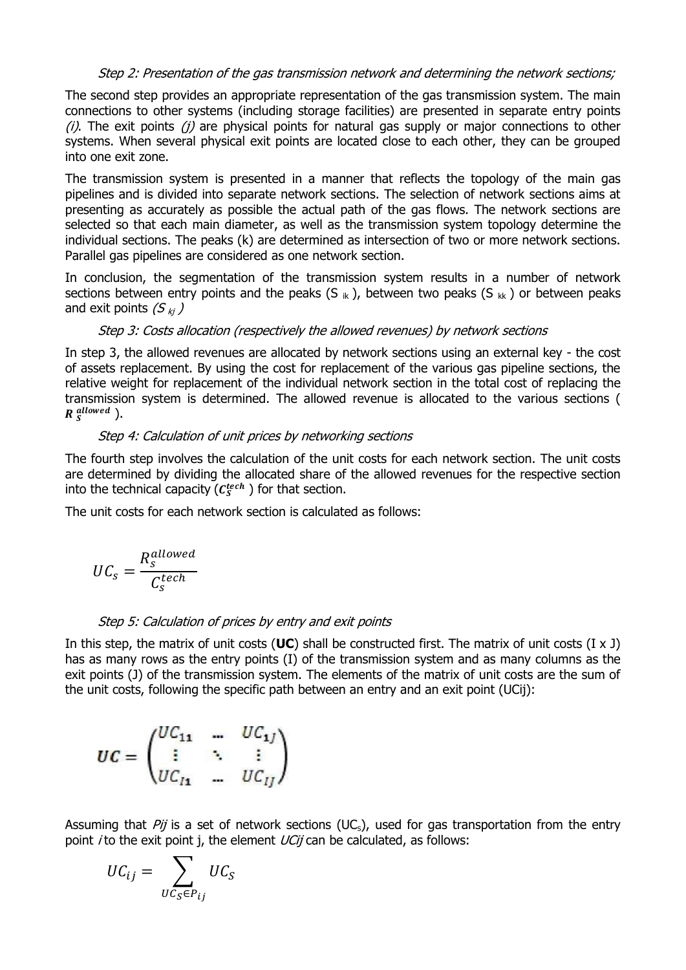#### Step 2: Presentation of the gas transmission network and determining the network sections;

The second step provides an appropriate representation of the gas transmission system. The main connections to other systems (including storage facilities) are presented in separate entry points  $(i)$ . The exit points  $(i)$  are physical points for natural gas supply or major connections to other systems. When several physical exit points are located close to each other, they can be grouped into one exit zone.

The transmission system is presented in a manner that reflects the topology of the main gas pipelines and is divided into separate network sections. The selection of network sections aims at presenting as accurately as possible the actual path of the gas flows. The network sections are selected so that each main diameter, as well as the transmission system topology determine the individual sections. The peaks (k) are determined as intersection of two or more network sections. Parallel gas pipelines are considered as one network section.

In conclusion, the segmentation of the transmission system results in a number of network sections between entry points and the peaks  $(S_{ik})$ , between two peaks  $(S_{ik})$  or between peaks and exit points  $(S_{ki})$ 

#### Step 3: Costs allocation (respectively the allowed revenues) by network sections

In step 3, the allowed revenues are allocated by network sections using an external key - the cost of assets replacement. By using the cost for replacement of the various gas pipeline sections, the relative weight for replacement of the individual network section in the total cost of replacing the transmission system is determined. The allowed revenue is allocated to the various sections (  $R_S^{allowed}$  ).

#### Step 4: Calculation of unit prices by networking sections

The fourth step involves the calculation of the unit costs for each network section. The unit costs are determined by dividing the allocated share of the allowed revenues for the respective section into the technical capacity ( $C_S^{tech}$  ) for that section.

The unit costs for each network section is calculated as follows:

$$
UC_s = \frac{R_s^{allowed}}{C_s^{tech}}
$$

#### Step 5: Calculation of prices by entry and exit points

In this step, the matrix of unit costs (**UC**) shall be constructed first. The matrix of unit costs (I x J) has as many rows as the entry points (I) of the transmission system and as many columns as the exit points (J) of the transmission system. The elements of the matrix of unit costs are the sum of the unit costs, following the specific path between an entry and an exit point (UCij):

$$
UC = \begin{pmatrix} UC_{11} & \cdots & UC_{1j} \\ \vdots & \ddots & \vdots \\ UC_{l1} & \cdots & UC_{lj}\end{pmatrix}
$$

Assuming that Pij is a set of network sections (UC<sub>s</sub>), used for gas transportation from the entry point *i* to the exit point j, the element  $UCii$  can be calculated, as follows:

$$
UC_{ij} = \sum_{UC_S \in P_{ij}} UC_S
$$